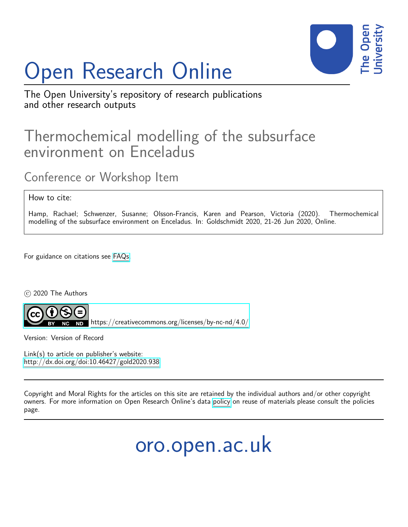## Open Research Online



The Open University's repository of research publications and other research outputs

## Thermochemical modelling of the subsurface environment on Enceladus

Conference or Workshop Item

How to cite:

Hamp, Rachael; Schwenzer, Susanne; Olsson-Francis, Karen and Pearson, Victoria (2020). Thermochemical modelling of the subsurface environment on Enceladus. In: Goldschmidt 2020, 21-26 Jun 2020, Online.

For guidance on citations see [FAQs.](http://oro.open.ac.uk/help/helpfaq.html)

c 2020 The Authors



<https://creativecommons.org/licenses/by-nc-nd/4.0/>

Version: Version of Record

Link(s) to article on publisher's website: <http://dx.doi.org/doi:10.46427/gold2020.938>

Copyright and Moral Rights for the articles on this site are retained by the individual authors and/or other copyright owners. For more information on Open Research Online's data [policy](http://oro.open.ac.uk/policies.html) on reuse of materials please consult the policies page.

oro.open.ac.uk